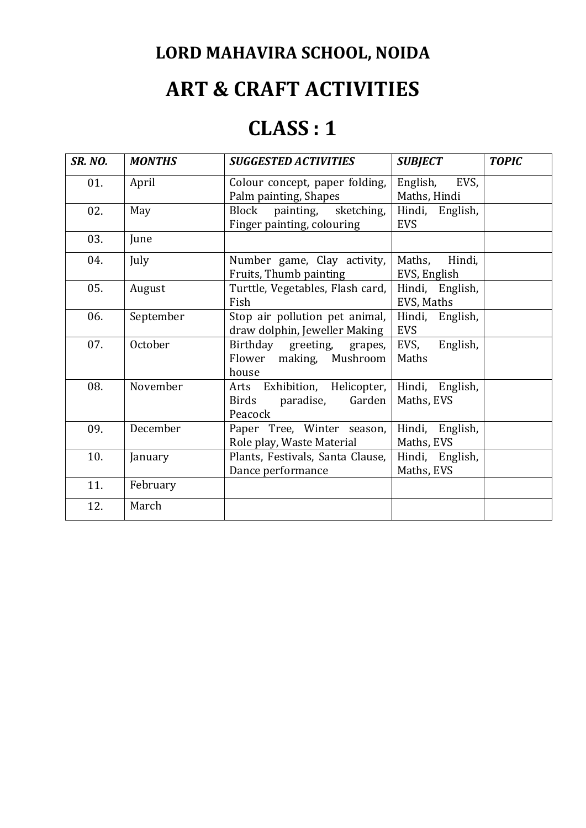## **ART & CRAFT ACTIVITIES**

### **CLASS : 1**

| <b>SR. NO.</b> | <b>MONTHS</b> | <b>SUGGESTED ACTIVITIES</b>                                             | <b>SUBJECT</b>                   | <b>TOPIC</b> |
|----------------|---------------|-------------------------------------------------------------------------|----------------------------------|--------------|
| 01.            | April         | Colour concept, paper folding,<br>Palm painting, Shapes                 | EVS,<br>English,<br>Maths, Hindi |              |
| 02.            | May           | Block<br>painting, sketching,<br>Finger painting, colouring             | Hindi, English,<br><b>EVS</b>    |              |
| 03.            | June          |                                                                         |                                  |              |
| 04.            | July          | Number game, Clay activity,<br>Fruits, Thumb painting                   | Hindi,<br>Maths,<br>EVS, English |              |
| 05.            | August        | Turttle, Vegetables, Flash card,<br>Fish                                | Hindi, English,<br>EVS, Maths    |              |
| 06.            | September     | Stop air pollution pet animal,<br>draw dolphin, Jeweller Making         | Hindi, English,<br><b>EVS</b>    |              |
| 07.            | October       | Birthday greeting, grapes,<br>Flower making, Mushroom<br>house          | English,<br>EVS,<br>Maths        |              |
| 08.            | November      | Arts Exhibition, Helicopter,<br>Garden<br>Birds<br>paradise,<br>Peacock | Hindi, English,<br>Maths, EVS    |              |
| 09.            | December      | Paper Tree, Winter season,<br>Role play, Waste Material                 | Hindi, English,<br>Maths, EVS    |              |
| 10.            | January       | Plants, Festivals, Santa Clause,<br>Dance performance                   | Hindi, English,<br>Maths, EVS    |              |
| 11.            | February      |                                                                         |                                  |              |
| 12.            | March         |                                                                         |                                  |              |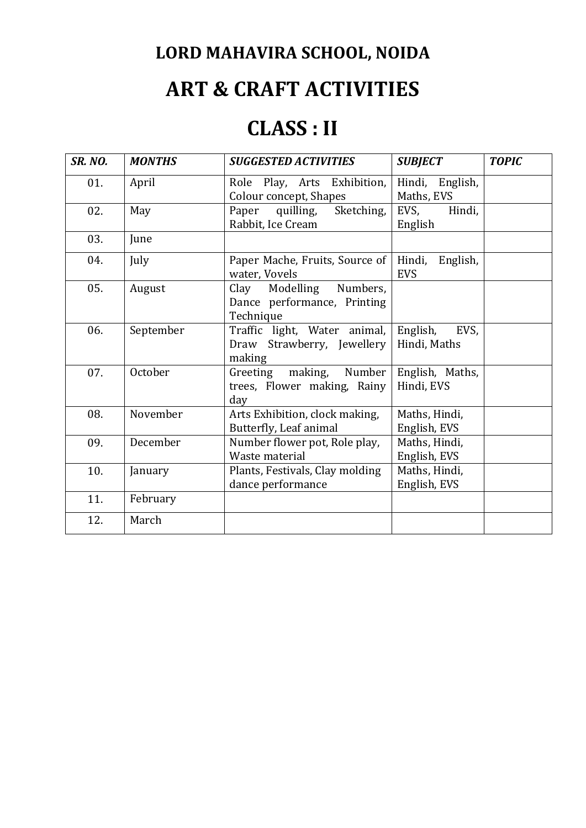# **ART & CRAFT ACTIVITIES**

### **CLASS : II**

| <b>SR. NO.</b> | <b>MONTHS</b> | <b>SUGGESTED ACTIVITIES</b>                                          | <b>SUBJECT</b>                   | <b>TOPIC</b> |
|----------------|---------------|----------------------------------------------------------------------|----------------------------------|--------------|
| 01.            | April         | Role Play, Arts Exhibition,<br>Colour concept, Shapes                | English,<br>Hindi,<br>Maths, EVS |              |
| 02.            | May           | Paper quilling,<br>Sketching,<br>Rabbit, Ice Cream                   | EVS,<br>Hindi,<br>English        |              |
| 03.            | June          |                                                                      |                                  |              |
| 04.            | July          | Paper Mache, Fruits, Source of<br>water, Vovels                      | Hindi,<br>English,<br><b>EVS</b> |              |
| 05.            | August        | Clay Modelling Numbers,<br>Dance performance, Printing<br>Technique  |                                  |              |
| 06.            | September     | Traffic light, Water animal,<br>Draw Strawberry, Jewellery<br>making | English,<br>EVS,<br>Hindi, Maths |              |
| 07.            | October       | Greeting making, Number<br>trees, Flower making, Rainy<br>day        | English, Maths,<br>Hindi, EVS    |              |
| 08.            | November      | Arts Exhibition, clock making,<br>Butterfly, Leaf animal             | Maths, Hindi,<br>English, EVS    |              |
| 09.            | December      | Number flower pot, Role play,<br>Waste material                      | Maths, Hindi,<br>English, EVS    |              |
| 10.            | January       | Plants, Festivals, Clay molding<br>dance performance                 | Maths, Hindi,<br>English, EVS    |              |
| 11.            | February      |                                                                      |                                  |              |
| 12.            | March         |                                                                      |                                  |              |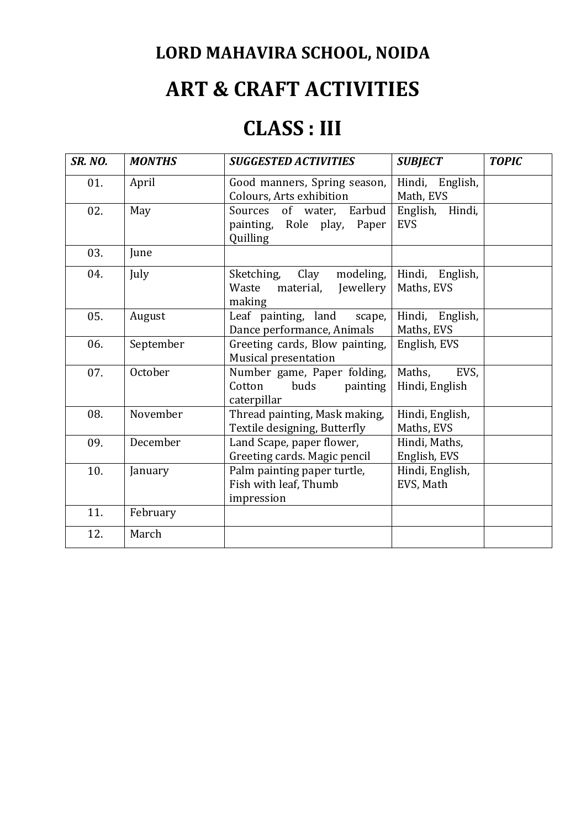## **ART & CRAFT ACTIVITIES**

### **CLASS : III**

| <b>SR. NO.</b> | <b>MONTHS</b> | <b>SUGGESTED ACTIVITIES</b>                                                  | <b>SUBJECT</b>                   | <b>TOPIC</b> |
|----------------|---------------|------------------------------------------------------------------------------|----------------------------------|--------------|
| 01.            | April         | Good manners, Spring season,<br>Colours, Arts exhibition                     | Hindi,<br>English,<br>Math, EVS  |              |
| 02.            | May           | Sources<br>of water,<br>Earbud<br>painting, Role play,<br>Paper<br>Quilling  | Hindi,<br>English,<br><b>EVS</b> |              |
| 03.            | June          |                                                                              |                                  |              |
| 04.            | July          | Sketching,<br>Clay<br>modeling,<br>material,<br>Jewellery<br>Waste<br>making | Hindi,<br>English,<br>Maths, EVS |              |
| 05.            | August        | Leaf painting, land<br>scape,<br>Dance performance, Animals                  | Hindi,<br>English,<br>Maths, EVS |              |
| 06.            | September     | Greeting cards, Blow painting,<br>Musical presentation                       | English, EVS                     |              |
| 07.            | October       | Number game, Paper folding,<br>Cotton<br>buds<br>painting<br>caterpillar     | EVS,<br>Maths,<br>Hindi, English |              |
| 08.            | November      | Thread painting, Mask making,<br>Textile designing, Butterfly                | Hindi, English,<br>Maths, EVS    |              |
| 09.            | December      | Land Scape, paper flower,<br>Greeting cards. Magic pencil                    | Hindi, Maths,<br>English, EVS    |              |
| 10.            | January       | Palm painting paper turtle,<br>Fish with leaf, Thumb<br>impression           | Hindi, English,<br>EVS, Math     |              |
| 11.            | February      |                                                                              |                                  |              |
| 12.            | March         |                                                                              |                                  |              |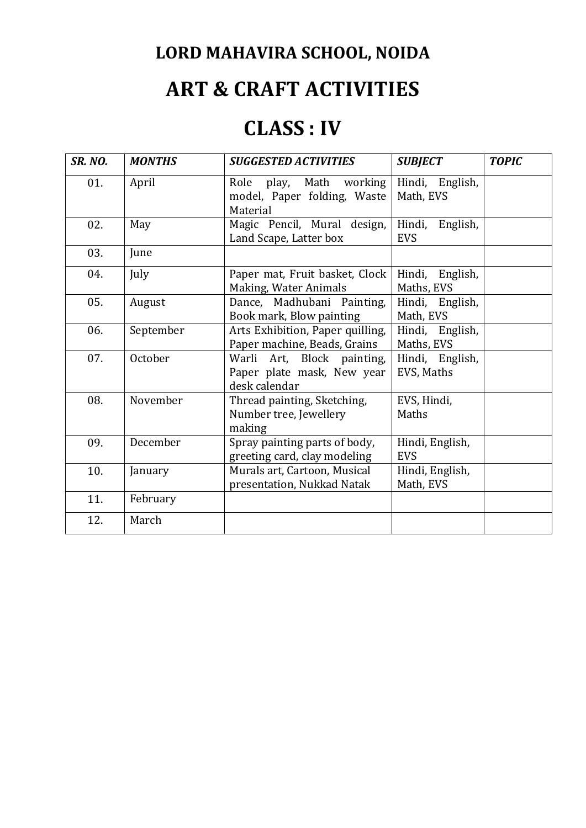## **ART & CRAFT ACTIVITIES**

### **CLASS : IV**

| <b>SR. NO.</b> | <b>MONTHS</b> | <b>SUGGESTED ACTIVITIES</b>                                               | <b>SUBJECT</b>                   | <b>TOPIC</b> |
|----------------|---------------|---------------------------------------------------------------------------|----------------------------------|--------------|
| 01.            | April         | working<br>play, Math<br>Role<br>model, Paper folding, Waste<br>Material  | Hindi, English,<br>Math, EVS     |              |
| 02.            | May           | Magic Pencil, Mural design,<br>Land Scape, Latter box                     | Hindi,<br>English,<br><b>EVS</b> |              |
| 03.            | June          |                                                                           |                                  |              |
| 04.            | July          | Paper mat, Fruit basket, Clock<br>Making, Water Animals                   | English,<br>Hindi,<br>Maths, EVS |              |
| 05.            | August        | Dance, Madhubani Painting,<br>Book mark, Blow painting                    | Hindi, English,<br>Math, EVS     |              |
| 06.            | September     | Arts Exhibition, Paper quilling,<br>Paper machine, Beads, Grains          | Hindi, English,<br>Maths, EVS    |              |
| 07.            | October       | Warli Art, Block painting,<br>Paper plate mask, New year<br>desk calendar | Hindi, English,<br>EVS, Maths    |              |
| 08.            | November      | Thread painting, Sketching,<br>Number tree, Jewellery<br>making           | EVS, Hindi,<br>Maths             |              |
| 09.            | December      | Spray painting parts of body,<br>greeting card, clay modeling             | Hindi, English,<br><b>EVS</b>    |              |
| 10.            | January       | Murals art, Cartoon, Musical<br>presentation, Nukkad Natak                | Hindi, English,<br>Math, EVS     |              |
| 11.            | February      |                                                                           |                                  |              |
| 12.            | March         |                                                                           |                                  |              |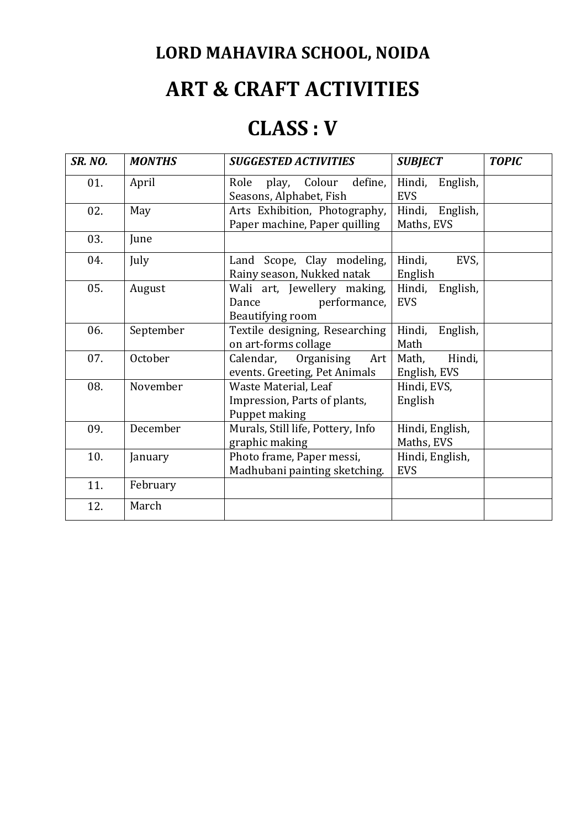## **ART & CRAFT ACTIVITIES**

### **CLASS : V**

| <b>SR. NO.</b> | <b>MONTHS</b> | <b>SUGGESTED ACTIVITIES</b>                                              | <b>SUBJECT</b>                   | <b>TOPIC</b> |
|----------------|---------------|--------------------------------------------------------------------------|----------------------------------|--------------|
| 01.            | April         | define,<br>play, Colour<br>Role<br>Seasons, Alphabet, Fish               | Hindi,<br>English,<br><b>EVS</b> |              |
| 02.            | May           | Arts Exhibition, Photography,<br>Paper machine, Paper quilling           | Hindi,<br>English,<br>Maths, EVS |              |
| 03.            | June          |                                                                          |                                  |              |
| 04.            | July          | Land Scope, Clay modeling,<br>Rainy season, Nukked natak                 | EVS,<br>Hindi,<br>English        |              |
| 05.            | August        | Wali art, Jewellery making,<br>performance,<br>Dance<br>Beautifying room | Hindi,<br>English,<br><b>EVS</b> |              |
| 06.            | September     | Textile designing, Researching<br>on art-forms collage                   | Hindi,<br>English,<br>Math       |              |
| 07.            | October       | Calendar,<br>Organising<br>Art<br>events. Greeting, Pet Animals          | Hindi,<br>Math,<br>English, EVS  |              |
| 08.            | November      | Waste Material, Leaf<br>Impression, Parts of plants,<br>Puppet making    | Hindi, EVS,<br>English           |              |
| 09.            | December      | Murals, Still life, Pottery, Info<br>graphic making                      | Hindi, English,<br>Maths, EVS    |              |
| 10.            | January       | Photo frame, Paper messi,<br>Madhubani painting sketching.               | Hindi, English,<br><b>EVS</b>    |              |
| 11.            | February      |                                                                          |                                  |              |
| 12.            | March         |                                                                          |                                  |              |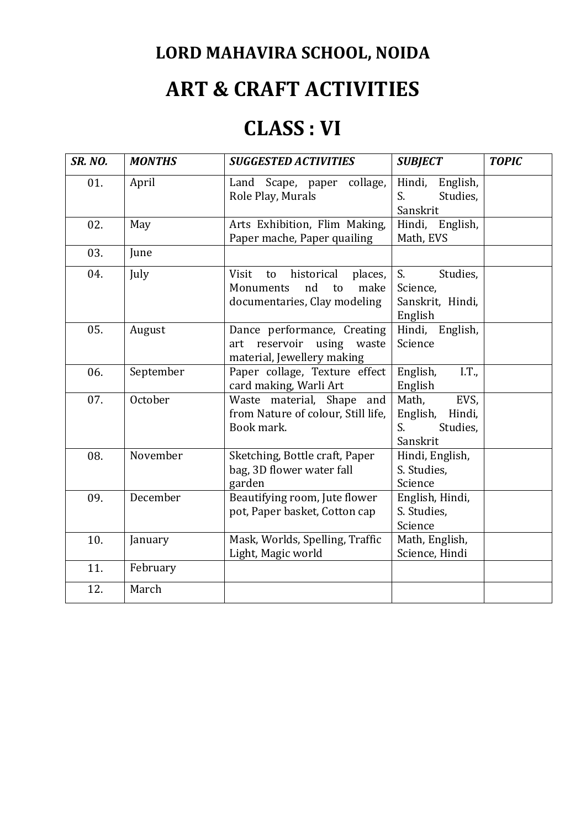## **ART & CRAFT ACTIVITIES**

### **CLASS : VI**

| <b>SR. NO.</b> | <b>MONTHS</b> | <b>SUGGESTED ACTIVITIES</b>                                                                           | <b>SUBJECT</b>                                                    | <b>TOPIC</b> |
|----------------|---------------|-------------------------------------------------------------------------------------------------------|-------------------------------------------------------------------|--------------|
| 01.            | April         | collage,<br>Land Scape, paper<br>Role Play, Murals                                                    | Hindi,<br>English,<br>Studies,<br>S.<br>Sanskrit                  |              |
| 02.            | May           | Arts Exhibition, Flim Making,<br>Paper mache, Paper quailing                                          | Hindi,<br>English,<br>Math, EVS                                   |              |
| 03.            | June          |                                                                                                       |                                                                   |              |
| 04.            | July          | historical<br>Visit<br>to<br>places,<br>nd<br>make<br>Monuments<br>to<br>documentaries, Clay modeling | S.<br>Studies,<br>Science,<br>Sanskrit, Hindi,<br>English         |              |
| 05.            | August        | Dance performance, Creating<br>art reservoir<br>using<br>waste<br>material, Jewellery making          | English,<br>Hindi,<br>Science                                     |              |
| 06.            | September     | Paper collage, Texture effect<br>card making, Warli Art                                               | English,<br>I.T.,<br>English                                      |              |
| 07.            | October       | Waste material, Shape and<br>from Nature of colour, Still life,<br>Book mark.                         | Math,<br>EVS,<br>English,<br>Hindi,<br>Studies,<br>S.<br>Sanskrit |              |
| 08.            | November      | Sketching, Bottle craft, Paper<br>bag, 3D flower water fall<br>garden                                 | Hindi, English,<br>S. Studies,<br>Science                         |              |
| 09.            | December      | Beautifying room, Jute flower<br>pot, Paper basket, Cotton cap                                        | English, Hindi,<br>S. Studies,<br>Science                         |              |
| 10.            | January       | Mask, Worlds, Spelling, Traffic<br>Light, Magic world                                                 | Math, English,<br>Science, Hindi                                  |              |
| 11.            | February      |                                                                                                       |                                                                   |              |
| 12.            | March         |                                                                                                       |                                                                   |              |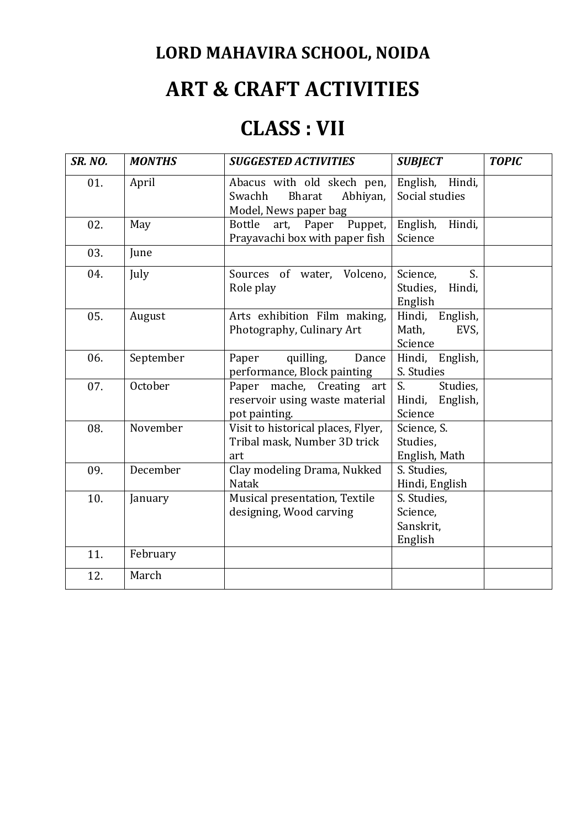## **ART & CRAFT ACTIVITIES**

### **CLASS : VII**

| <b>SR. NO.</b> | <b>MONTHS</b> | <b>SUGGESTED ACTIVITIES</b>                                                         | <b>SUBJECT</b>                                  | <b>TOPIC</b> |
|----------------|---------------|-------------------------------------------------------------------------------------|-------------------------------------------------|--------------|
| 01.            | April         | Abacus with old skech pen,<br>Swachh<br>Bharat<br>Abhiyan,<br>Model, News paper bag | English,<br>Hindi,<br>Social studies            |              |
| 02.            | May           | <b>Bottle</b><br>Paper<br>Puppet,<br>art,<br>Prayavachi box with paper fish         | English,<br>Hindi,<br>Science                   |              |
| 03.            | June          |                                                                                     |                                                 |              |
| 04.            | July          | Volceno,<br>Sources of water,<br>Role play                                          | S.<br>Science,<br>Studies,<br>Hindi,<br>English |              |
| 05.            | August        | Arts exhibition Film making,<br>Photography, Culinary Art                           | Hindi,<br>English,<br>Math,<br>EVS,<br>Science  |              |
| 06.            | September     | quilling,<br>Paper<br>Dance<br>performance, Block painting                          | English,<br>Hindi,<br>S. Studies                |              |
| 07.            | October       | Paper mache, Creating art<br>reservoir using waste material<br>pot painting.        | S.<br>Studies,<br>English,<br>Hindi,<br>Science |              |
| 08.            | November      | Visit to historical places, Flyer,<br>Tribal mask, Number 3D trick<br>art           | Science, S.<br>Studies,<br>English, Math        |              |
| 09.            | December      | Clay modeling Drama, Nukked<br><b>Natak</b>                                         | S. Studies,<br>Hindi, English                   |              |
| 10.            | January       | Musical presentation, Textile<br>designing, Wood carving                            | S. Studies,<br>Science,<br>Sanskrit,<br>English |              |
| 11.            | February      |                                                                                     |                                                 |              |
| 12.            | March         |                                                                                     |                                                 |              |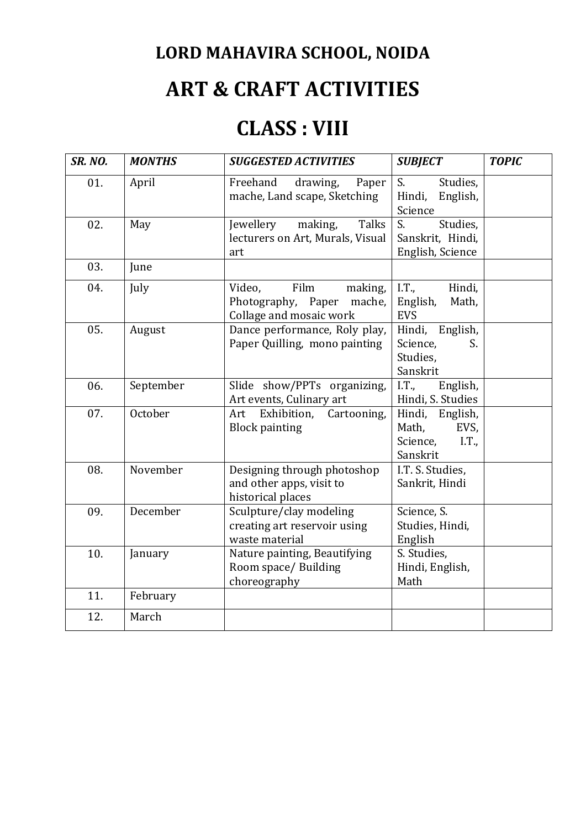## **ART & CRAFT ACTIVITIES**

### **CLASS : VIII**

| <b>SR. NO.</b> | <b>MONTHS</b> | <b>SUGGESTED ACTIVITIES</b>                                                          | <b>SUBJECT</b>                                                    | <b>TOPIC</b> |
|----------------|---------------|--------------------------------------------------------------------------------------|-------------------------------------------------------------------|--------------|
| 01.            | April         | Freehand<br>drawing,<br>Paper<br>mache, Land scape, Sketching                        | $\overline{S}$ .<br>Studies,<br>English,<br>Hindi,<br>Science     |              |
| 02.            | May           | making,<br><b>Talks</b><br>Jewellery<br>lecturers on Art, Murals, Visual<br>art      | Studies,<br>S.<br>Sanskrit, Hindi,<br>English, Science            |              |
| 03.            | June          |                                                                                      |                                                                   |              |
| 04.            | July          | Film<br>Video,<br>making,<br>Photography, Paper<br>mache,<br>Collage and mosaic work | I.T.,<br>Hindi,<br>English,<br>Math,<br><b>EVS</b>                |              |
| 05.            | August        | Dance performance, Roly play,<br>Paper Quilling, mono painting                       | Hindi, English,<br>Science,<br>S.<br>Studies,<br>Sanskrit         |              |
| 06.            | September     | Slide show/PPTs organizing,<br>Art events, Culinary art                              | I.T.,<br>English,<br>Hindi, S. Studies                            |              |
| 07.            | October       | Exhibition,<br>Cartooning,<br>Art<br><b>Block painting</b>                           | Hindi, English,<br>Math,<br>EVS,<br>Science,<br>I.T.,<br>Sanskrit |              |
| 08.            | November      | Designing through photoshop<br>and other apps, visit to<br>historical places         | I.T. S. Studies,<br>Sankrit, Hindi                                |              |
| 09.            | December      | Sculpture/clay modeling<br>creating art reservoir using<br>waste material            | Science, S.<br>Studies, Hindi,<br>English                         |              |
| 10.            | January       | Nature painting, Beautifying<br>Room space/ Building<br>choreography                 | S. Studies,<br>Hindi, English,<br>Math                            |              |
| 11.            | February      |                                                                                      |                                                                   |              |
| 12.            | March         |                                                                                      |                                                                   |              |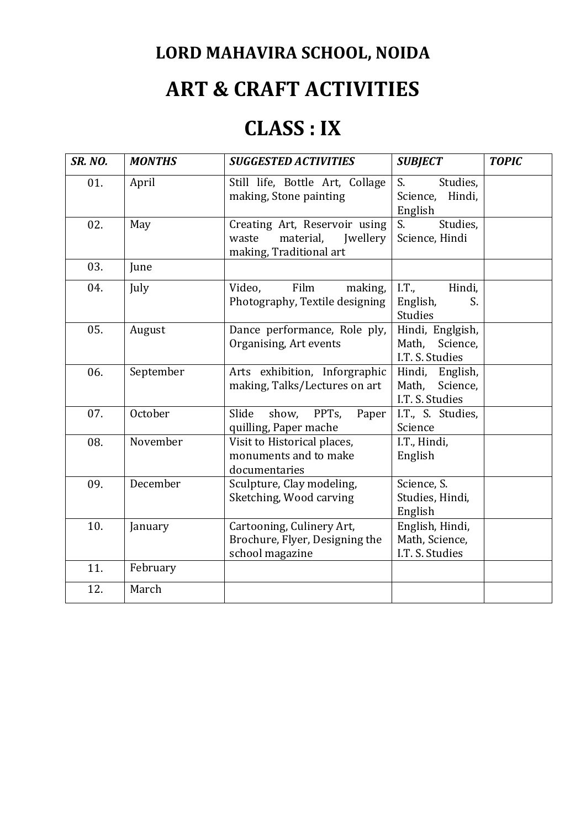## **ART & CRAFT ACTIVITIES**

### **CLASS : IX**

| <b>SR. NO.</b> | <b>MONTHS</b> | <b>SUGGESTED ACTIVITIES</b>                                                                       | <b>SUBJECT</b>                                           | <b>TOPIC</b> |
|----------------|---------------|---------------------------------------------------------------------------------------------------|----------------------------------------------------------|--------------|
| 01.            | April         | Still life, Bottle Art, Collage<br>making, Stone painting                                         | S.<br>Studies,<br>Hindi,<br>Science,<br>English          |              |
| 02.            | May           | Creating Art, Reservoir using<br>material,<br><b>Iwellery</b><br>waste<br>making, Traditional art | S.<br>Studies,<br>Science, Hindi                         |              |
| 03.            | June          |                                                                                                   |                                                          |              |
| 04.            | July          | Film<br>Video,<br>making,<br>Photography, Textile designing                                       | I.T.,<br>Hindi,<br>English,<br>S.<br><b>Studies</b>      |              |
| 05.            | August        | Dance performance, Role ply,<br>Organising, Art events                                            | Hindi, Englgish,<br>Math,<br>Science,<br>I.T. S. Studies |              |
| 06.            | September     | Arts exhibition, Inforgraphic<br>making, Talks/Lectures on art                                    | Hindi, English,<br>Math,<br>Science,<br>I.T. S. Studies  |              |
| 07.            | October       | show, PPTs,<br>Slide<br>Paper<br>quilling, Paper mache                                            | I.T., S. Studies,<br>Science                             |              |
| 08.            | November      | Visit to Historical places,<br>monuments and to make<br>documentaries                             | I.T., Hindi,<br>English                                  |              |
| 09.            | December      | Sculpture, Clay modeling,<br>Sketching, Wood carving                                              | Science, S.<br>Studies, Hindi,<br>English                |              |
| 10.            | January       | Cartooning, Culinery Art,<br>Brochure, Flyer, Designing the<br>school magazine                    | English, Hindi,<br>Math, Science,<br>I.T. S. Studies     |              |
| 11.            | February      |                                                                                                   |                                                          |              |
| 12.            | March         |                                                                                                   |                                                          |              |